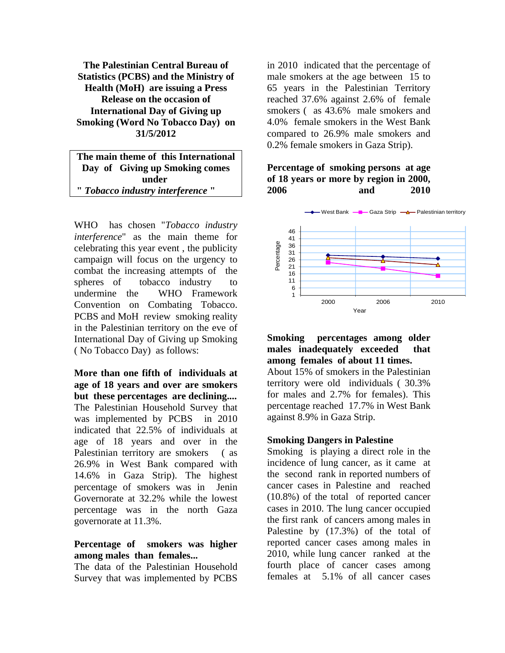**The Palestinian Central Bureau of Statistics (PCBS) and the Ministry of Health (MoH) are issuing a Press Release on the occasion of International Day of Giving up Smoking (Word No Tobacco Day) on 31/5/2012**

**The main theme of this International Day of Giving up Smoking comes under "** *Tobacco industry interference* **"** 

WHO has chosen "*Tobacco industry interference*" as the main theme for celebrating this year event , the publicity campaign will focus on the urgency to combat the increasing attempts of the spheres of tobacco industry to undermine the WHO Framework Convention on Combating Tobacco. PCBS and MoH review smoking reality in the Palestinian territory on the eve of International Day of Giving up Smoking ( No Tobacco Day) as follows:

**More than one fifth of individuals at age of 18 years and over are smokers but these percentages are declining....**  The Palestinian Household Survey that was implemented by PCBS in 2010 indicated that 22.5% of individuals at age of 18 years and over in the Palestinian territory are smokers ( as 26.9% in West Bank compared with 14.6% in Gaza Strip). The highest percentage of smokers was in Jenin Governorate at 32.2% while the lowest percentage was in the north Gaza governorate at 11.3%.

### **Percentage of smokers was higher among males than females...**

The data of the Palestinian Household Survey that was implemented by PCBS

in 2010 indicated that the percentage of male smokers at the age between 15 to 65 years in the Palestinian Territory reached 37.6% against 2.6% of female smokers ( as 43.6% male smokers and 4.0% female smokers in the West Bank compared to 26.9% male smokers and 0.2% female smokers in Gaza Strip).

## **Percentage of smoking persons at age of 18 years or more by region in 2000, 2006 and 2010**



### **Smoking percentages among older males inadequately exceeded that among females of about 11 times.**

About 15% of smokers in the Palestinian territory were old individuals ( 30.3% for males and 2.7% for females). This percentage reached 17.7% in West Bank against 8.9% in Gaza Strip.

### **Smoking Dangers in Palestine**

Smoking is playing a direct role in the incidence of lung cancer, as it came at the second rank in reported numbers of cancer cases in Palestine and reached (10.8%) of the total of reported cancer cases in 2010. The lung cancer occupied the first rank of cancers among males in Palestine by (17.3%) of the total of reported cancer cases among males in 2010, while lung cancer ranked at the fourth place of cancer cases among females at 5.1% of all cancer cases